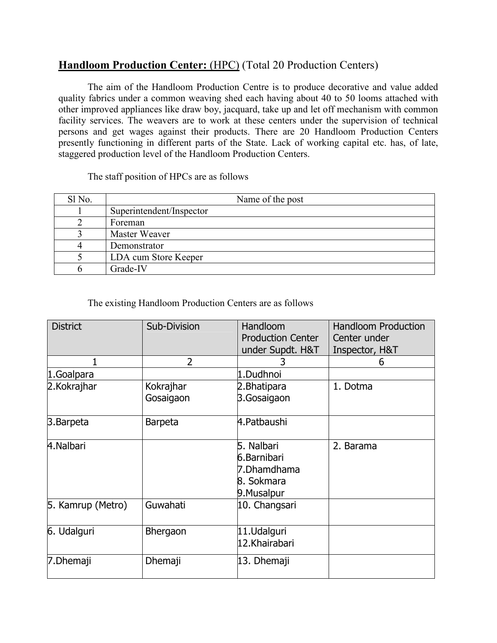## **Handloom Production Center:** (HPC) (Total 20 Production Centers)

The aim of the Handloom Production Centre is to produce decorative and value added quality fabrics under a common weaving shed each having about 40 to 50 looms attached with other improved appliances like draw boy, jacquard, take up and let off mechanism with common facility services. The weavers are to work at these centers under the supervision of technical persons and get wages against their products. There are 20 Handloom Production Centers presently functioning in different parts of the State. Lack of working capital etc. has, of late, staggered production level of the Handloom Production Centers.

The staff position of HPCs are as follows

| Sl <sub>No.</sub> | Name of the post         |
|-------------------|--------------------------|
|                   | Superintendent/Inspector |
|                   | Foreman                  |
|                   | Master Weaver            |
|                   | Demonstrator             |
|                   | LDA cum Store Keeper     |
|                   | Grade-IV                 |

## The existing Handloom Production Centers are as follows

| <b>District</b>   | Sub-Division   | Handloom                                                              | <b>Handloom Production</b> |
|-------------------|----------------|-----------------------------------------------------------------------|----------------------------|
|                   |                | <b>Production Center</b>                                              | Center under               |
|                   |                | under Supdt. H&T                                                      | Inspector, H&T             |
|                   | $\overline{2}$ |                                                                       | 6                          |
| 1.Goalpara        |                | 1.Dudhnoi                                                             |                            |
| 2. Kokrajhar      | Kokrajhar      | 2. Bhatipara                                                          | 1. Dotma                   |
|                   | Gosaigaon      | 3.Gosaigaon                                                           |                            |
| 3. Barpeta        | <b>Barpeta</b> | 4. Patbaushi                                                          |                            |
| 4.Nalbari         |                | 5. Nalbari<br>6.Barnibari<br>7.Dhamdhama<br>8. Sokmara<br>9. Musalpur | 2. Barama                  |
| 5. Kamrup (Metro) | Guwahati       | 10. Changsari                                                         |                            |
| 6. Udalguri       | Bhergaon       | 11.Udalguri<br>12.Khairabari                                          |                            |
| 7. Dhemaji        | Dhemaji        | 13. Dhemaji                                                           |                            |